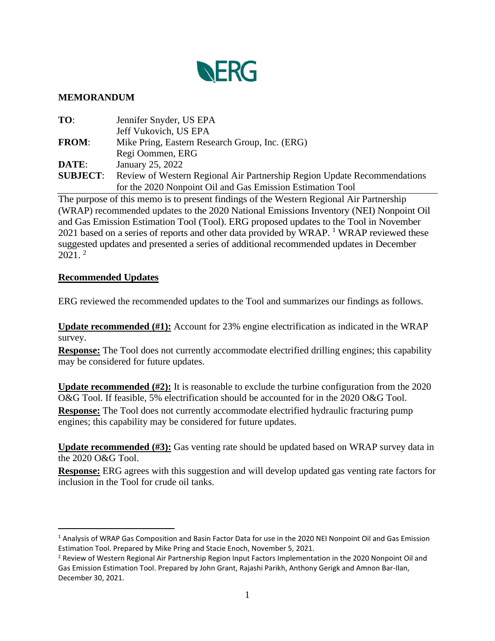

## **MEMORANDUM**

| TO:             | Jennifer Snyder, US EPA                                                  |
|-----------------|--------------------------------------------------------------------------|
|                 | Jeff Vukovich, US EPA                                                    |
| <b>FROM:</b>    | Mike Pring, Eastern Research Group, Inc. (ERG)                           |
|                 | Regi Oommen, ERG                                                         |
| DATE:           | January 25, 2022                                                         |
| <b>SUBJECT:</b> | Review of Western Regional Air Partnership Region Update Recommendations |
|                 | for the 2020 Nonpoint Oil and Gas Emission Estimation Tool               |

The purpose of this memo is to present findings of the Western Regional Air Partnership (WRAP) recommended updates to the 2020 National Emissions Inventory (NEI) Nonpoint Oil and Gas Emission Estimation Tool (Tool). ERG proposed updates to the Tool in November 2021 based on a series of reports and other data provided by WRAP.<sup>1</sup> WRAP reviewed these suggested updates and presented a series of additional recommended updates in December  $2021.$ <sup>2</sup>

## **Recommended Updates**

ERG reviewed the recommended updates to the Tool and summarizes our findings as follows.

**Update recommended (#1):** Account for 23% engine electrification as indicated in the WRAP survey.

**Response:** The Tool does not currently accommodate electrified drilling engines; this capability may be considered for future updates.

**Update recommended (#2):** It is reasonable to exclude the turbine configuration from the 2020 O&G Tool. If feasible, 5% electrification should be accounted for in the 2020 O&G Tool. **Response:** The Tool does not currently accommodate electrified hydraulic fracturing pump engines; this capability may be considered for future updates.

**Update recommended (#3):** Gas venting rate should be updated based on WRAP survey data in the 2020 O&G Tool.

**Response:** ERG agrees with this suggestion and will develop updated gas venting rate factors for inclusion in the Tool for crude oil tanks.

<sup>1</sup> Analysis of WRAP Gas Composition and Basin Factor Data for use in the 2020 NEI Nonpoint Oil and Gas Emission Estimation Tool. Prepared by Mike Pring and Stacie Enoch, November 5, 2021.

<sup>&</sup>lt;sup>2</sup> Review of Western Regional Air Partnership Region Input Factors Implementation in the 2020 Nonpoint Oil and Gas Emission Estimation Tool. Prepared by John Grant, Rajashi Parikh, Anthony Gerigk and Amnon Bar-Ilan, December 30, 2021.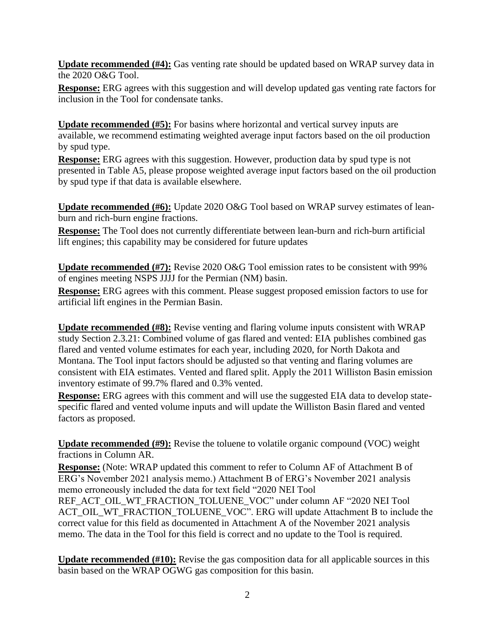**Update recommended (#4):** Gas venting rate should be updated based on WRAP survey data in the 2020 O&G Tool.

**Response:** ERG agrees with this suggestion and will develop updated gas venting rate factors for inclusion in the Tool for condensate tanks.

**Update recommended (#5):** For basins where horizontal and vertical survey inputs are available, we recommend estimating weighted average input factors based on the oil production by spud type.

**Response:** ERG agrees with this suggestion. However, production data by spud type is not presented in Table A5, please propose weighted average input factors based on the oil production by spud type if that data is available elsewhere.

**Update recommended (#6):** Update 2020 O&G Tool based on WRAP survey estimates of leanburn and rich-burn engine fractions.

**Response:** The Tool does not currently differentiate between lean-burn and rich-burn artificial lift engines; this capability may be considered for future updates

**Update recommended (#7):** Revise 2020 O&G Tool emission rates to be consistent with 99% of engines meeting NSPS JJJJ for the Permian (NM) basin.

**Response:** ERG agrees with this comment. Please suggest proposed emission factors to use for artificial lift engines in the Permian Basin.

**Update recommended (#8):** Revise venting and flaring volume inputs consistent with WRAP study Section 2.3.21: Combined volume of gas flared and vented: EIA publishes combined gas flared and vented volume estimates for each year, including 2020, for North Dakota and Montana. The Tool input factors should be adjusted so that venting and flaring volumes are consistent with EIA estimates. Vented and flared split. Apply the 2011 Williston Basin emission inventory estimate of 99.7% flared and 0.3% vented.

**Response:** ERG agrees with this comment and will use the suggested EIA data to develop statespecific flared and vented volume inputs and will update the Williston Basin flared and vented factors as proposed.

**Update recommended (#9):** Revise the toluene to volatile organic compound (VOC) weight fractions in Column AR.

**Response:** (Note: WRAP updated this comment to refer to Column AF of Attachment B of ERG's November 2021 analysis memo.) Attachment B of ERG's November 2021 analysis memo erroneously included the data for text field "2020 NEI Tool

REF\_ACT\_OIL\_WT\_FRACTION\_TOLUENE\_VOC" under column AF "2020 NEI Tool ACT\_OIL\_WT\_FRACTION\_TOLUENE\_VOC". ERG will update Attachment B to include the correct value for this field as documented in Attachment A of the November 2021 analysis memo. The data in the Tool for this field is correct and no update to the Tool is required.

**Update recommended (#10):** Revise the gas composition data for all applicable sources in this basin based on the WRAP OGWG gas composition for this basin.